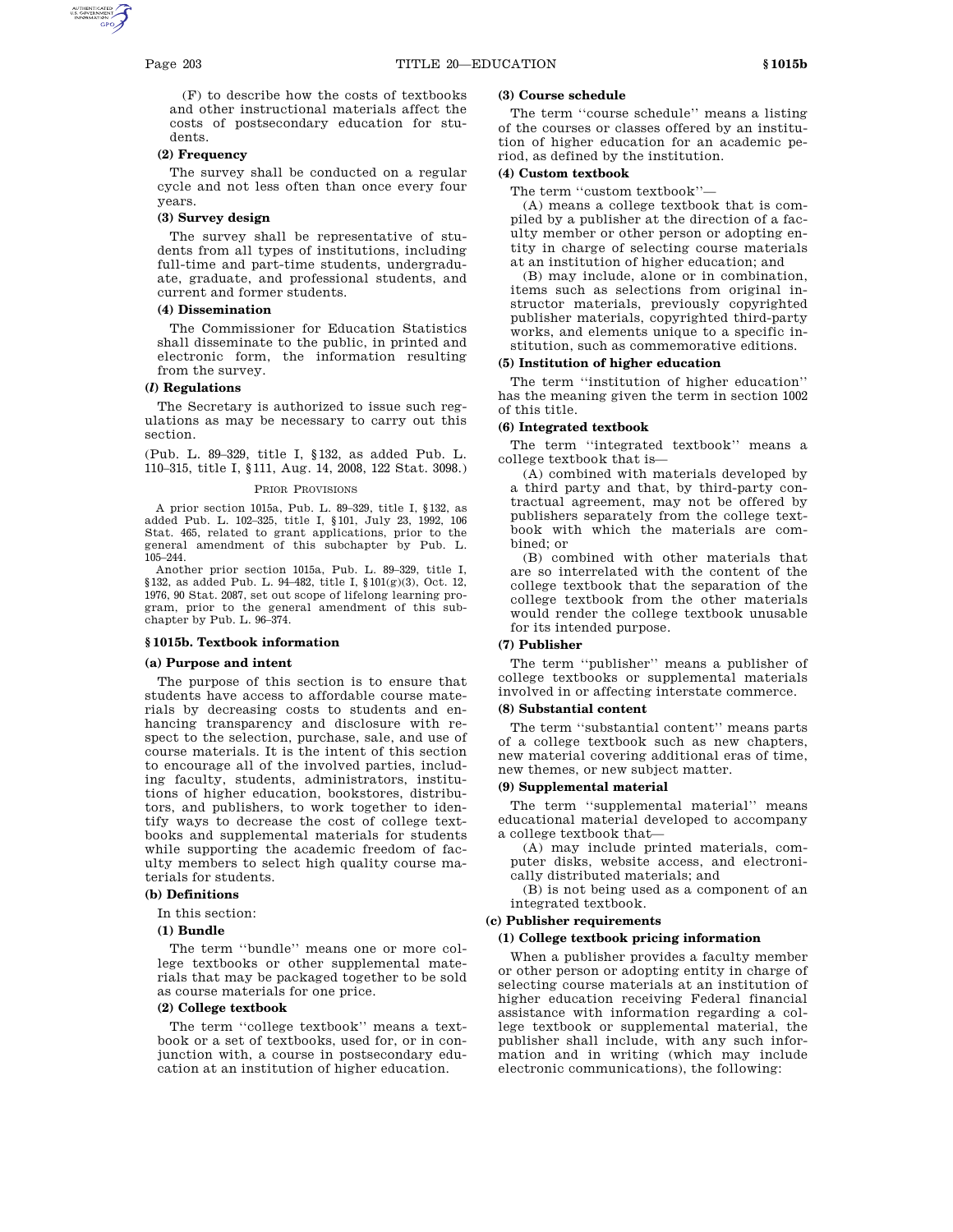(F) to describe how the costs of textbooks and other instructional materials affect the costs of postsecondary education for students.

# **(2) Frequency**

The survey shall be conducted on a regular cycle and not less often than once every four years.

### **(3) Survey design**

The survey shall be representative of students from all types of institutions, including full-time and part-time students, undergraduate, graduate, and professional students, and current and former students.

# **(4) Dissemination**

The Commissioner for Education Statistics shall disseminate to the public, in printed and electronic form, the information resulting from the survey.

# **(***l***) Regulations**

The Secretary is authorized to issue such regulations as may be necessary to carry out this section.

(Pub. L. 89–329, title I, §132, as added Pub. L. 110–315, title I, §111, Aug. 14, 2008, 122 Stat. 3098.)

### PRIOR PROVISIONS

A prior section 1015a, Pub. L. 89–329, title I, §132, as added Pub. L. 102–325, title I, §101, July 23, 1992, 106 Stat. 465, related to grant applications, prior to the general amendment of this subchapter by Pub. L. 105–244.

Another prior section 1015a, Pub. L. 89–329, title I, §132, as added Pub. L. 94–482, title I, §101(g)(3), Oct. 12, 1976, 90 Stat. 2087, set out scope of lifelong learning program, prior to the general amendment of this subchapter by Pub. L. 96–374.

### **§ 1015b. Textbook information**

# **(a) Purpose and intent**

The purpose of this section is to ensure that students have access to affordable course materials by decreasing costs to students and enhancing transparency and disclosure with respect to the selection, purchase, sale, and use of course materials. It is the intent of this section to encourage all of the involved parties, including faculty, students, administrators, institutions of higher education, bookstores, distributors, and publishers, to work together to identify ways to decrease the cost of college textbooks and supplemental materials for students while supporting the academic freedom of faculty members to select high quality course materials for students.

# **(b) Definitions**

In this section:

# **(1) Bundle**

The term ''bundle'' means one or more college textbooks or other supplemental materials that may be packaged together to be sold as course materials for one price.

# **(2) College textbook**

The term ''college textbook'' means a textbook or a set of textbooks, used for, or in conjunction with, a course in postsecondary education at an institution of higher education.

# **(3) Course schedule**

The term ''course schedule'' means a listing of the courses or classes offered by an institution of higher education for an academic period, as defined by the institution.

## **(4) Custom textbook**

The term ''custom textbook''—

(A) means a college textbook that is compiled by a publisher at the direction of a faculty member or other person or adopting entity in charge of selecting course materials at an institution of higher education; and

(B) may include, alone or in combination, items such as selections from original instructor materials, previously copyrighted publisher materials, copyrighted third-party works, and elements unique to a specific institution, such as commemorative editions.

#### **(5) Institution of higher education**

The term ''institution of higher education'' has the meaning given the term in section 1002 of this title.

### **(6) Integrated textbook**

The term ''integrated textbook'' means a college textbook that is—

(A) combined with materials developed by a third party and that, by third-party contractual agreement, may not be offered by publishers separately from the college textbook with which the materials are combined; or

(B) combined with other materials that are so interrelated with the content of the college textbook that the separation of the college textbook from the other materials would render the college textbook unusable for its intended purpose.

## **(7) Publisher**

The term ''publisher'' means a publisher of college textbooks or supplemental materials involved in or affecting interstate commerce.

### **(8) Substantial content**

The term ''substantial content'' means parts of a college textbook such as new chapters, new material covering additional eras of time, new themes, or new subject matter.

### **(9) Supplemental material**

The term ''supplemental material'' means educational material developed to accompany a college textbook that—

(A) may include printed materials, computer disks, website access, and electroni-

cally distributed materials; and

(B) is not being used as a component of an integrated textbook.

### **(c) Publisher requirements**

# **(1) College textbook pricing information**

When a publisher provides a faculty member or other person or adopting entity in charge of selecting course materials at an institution of higher education receiving Federal financial assistance with information regarding a college textbook or supplemental material, the publisher shall include, with any such information and in writing (which may include electronic communications), the following: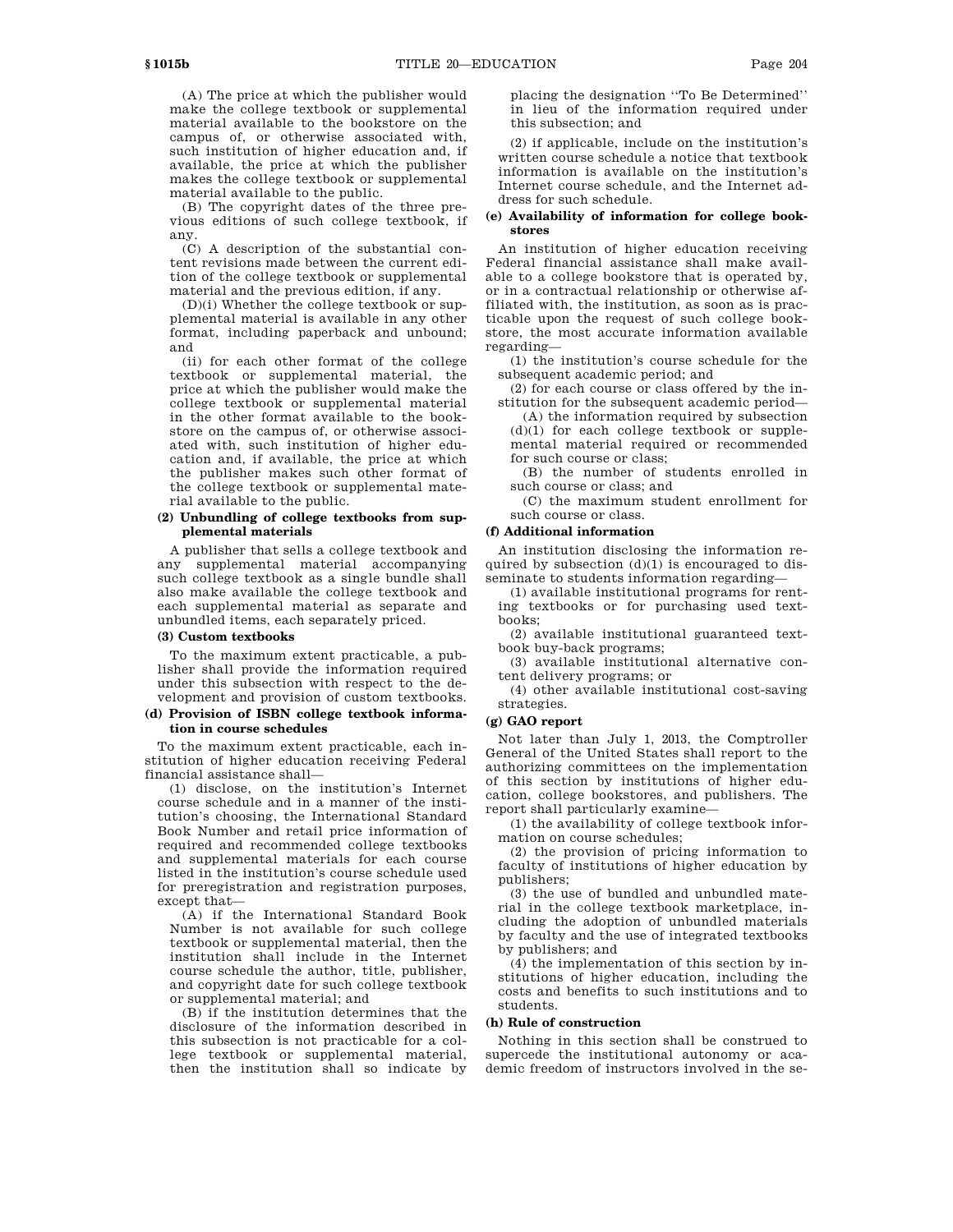(A) The price at which the publisher would make the college textbook or supplemental material available to the bookstore on the campus of, or otherwise associated with, such institution of higher education and, if available, the price at which the publisher makes the college textbook or supplemental material available to the public.

(B) The copyright dates of the three previous editions of such college textbook, if any.

(C) A description of the substantial content revisions made between the current edition of the college textbook or supplemental material and the previous edition, if any.

(D)(i) Whether the college textbook or supplemental material is available in any other format, including paperback and unbound; and

(ii) for each other format of the college textbook or supplemental material, the price at which the publisher would make the college textbook or supplemental material in the other format available to the bookstore on the campus of, or otherwise associated with, such institution of higher education and, if available, the price at which the publisher makes such other format of the college textbook or supplemental material available to the public.

# **(2) Unbundling of college textbooks from supplemental materials**

A publisher that sells a college textbook and any supplemental material accompanying such college textbook as a single bundle shall also make available the college textbook and each supplemental material as separate and unbundled items, each separately priced.

## **(3) Custom textbooks**

To the maximum extent practicable, a publisher shall provide the information required under this subsection with respect to the development and provision of custom textbooks.

## **(d) Provision of ISBN college textbook information in course schedules**

To the maximum extent practicable, each institution of higher education receiving Federal financial assistance shall—

(1) disclose, on the institution's Internet course schedule and in a manner of the institution's choosing, the International Standard Book Number and retail price information of required and recommended college textbooks and supplemental materials for each course listed in the institution's course schedule used for preregistration and registration purposes, except that—

(A) if the International Standard Book Number is not available for such college textbook or supplemental material, then the institution shall include in the Internet course schedule the author, title, publisher, and copyright date for such college textbook or supplemental material; and

(B) if the institution determines that the disclosure of the information described in this subsection is not practicable for a college textbook or supplemental material, then the institution shall so indicate by

placing the designation ''To Be Determined'' in lieu of the information required under this subsection; and

(2) if applicable, include on the institution's written course schedule a notice that textbook information is available on the institution's Internet course schedule, and the Internet address for such schedule.

## **(e) Availability of information for college bookstores**

An institution of higher education receiving Federal financial assistance shall make available to a college bookstore that is operated by, or in a contractual relationship or otherwise affiliated with, the institution, as soon as is practicable upon the request of such college bookstore, the most accurate information available regarding—

(1) the institution's course schedule for the subsequent academic period; and

(2) for each course or class offered by the institution for the subsequent academic period—

(A) the information required by subsection (d)(1) for each college textbook or supplemental material required or recommended for such course or class;

(B) the number of students enrolled in such course or class; and

(C) the maximum student enrollment for such course or class.

# **(f) Additional information**

An institution disclosing the information required by subsection  $(d)(1)$  is encouraged to disseminate to students information regarding—

(1) available institutional programs for renting textbooks or for purchasing used textbooks;

(2) available institutional guaranteed textbook buy-back programs;

(3) available institutional alternative content delivery programs; or

(4) other available institutional cost-saving strategies.

## **(g) GAO report**

Not later than July 1, 2013, the Comptroller General of the United States shall report to the authorizing committees on the implementation of this section by institutions of higher education, college bookstores, and publishers. The report shall particularly examine—

(1) the availability of college textbook information on course schedules;

(2) the provision of pricing information to faculty of institutions of higher education by publishers;

(3) the use of bundled and unbundled material in the college textbook marketplace, including the adoption of unbundled materials by faculty and the use of integrated textbooks by publishers; and

(4) the implementation of this section by institutions of higher education, including the costs and benefits to such institutions and to students.

## **(h) Rule of construction**

Nothing in this section shall be construed to supercede the institutional autonomy or academic freedom of instructors involved in the se